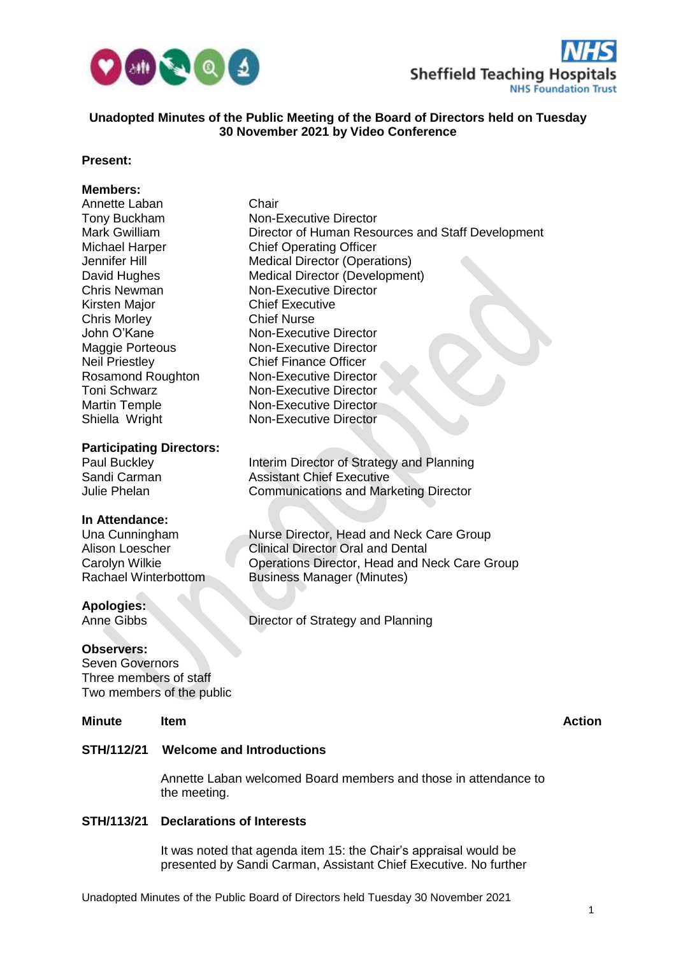



# **Unadopted Minutes of the Public Meeting of the Board of Directors held on Tuesday 30 November 2021 by Video Conference**

# **Present:**

# **Members:**

| Annette Laban                   | Chair                                             |
|---------------------------------|---------------------------------------------------|
| Tony Buckham                    | Non-Executive Director                            |
| <b>Mark Gwilliam</b>            | Director of Human Resources and Staff Development |
| Michael Harper                  | <b>Chief Operating Officer</b>                    |
| Jennifer Hill                   | <b>Medical Director (Operations)</b>              |
| David Hughes                    | <b>Medical Director (Development)</b>             |
| <b>Chris Newman</b>             | <b>Non-Executive Director</b>                     |
| Kirsten Major                   | <b>Chief Executive</b>                            |
| <b>Chris Morley</b>             | <b>Chief Nurse</b>                                |
| John O'Kane                     | <b>Non-Executive Director</b>                     |
| <b>Maggie Porteous</b>          | <b>Non-Executive Director</b>                     |
| <b>Neil Priestley</b>           | <b>Chief Finance Officer</b>                      |
| <b>Rosamond Roughton</b>        | Non-Executive Director                            |
| <b>Toni Schwarz</b>             | <b>Non-Executive Director</b>                     |
| <b>Martin Temple</b>            | <b>Non-Executive Director</b>                     |
| Shiella Wright                  | <b>Non-Executive Director</b>                     |
| <b>Participating Directors:</b> |                                                   |
| Paul Buckley                    | Interim Director of Strategy and Planning         |
| Sandi Carman                    | <b>Assistant Chief Executive</b>                  |
| <b>Julie Phelan</b>             | <b>Communications and Marketing Director</b>      |
| In Attendance:                  |                                                   |
| Una Cunningham                  | Nurse Director, Head and Neck Care Group          |

Alison Loescher **Clinical Director Oral and Dental** Carolyn Wilkie **Carolyn Wilkie Carolyn Wilkie Care Group**<br>
Rachael Winterbottom Business Manager (Minutes)

**Apologies:**

Anne Gibbs Director of Strategy and Planning

#### **Observers:**

Seven Governors Three members of staff Two members of the public

#### **Minute Item Action**

# **STH/112/21 Welcome and Introductions**

Annette Laban welcomed Board members and those in attendance to the meeting.

# **STH/113/21 Declarations of Interests**

It was noted that agenda item 15: the Chair's appraisal would be presented by Sandi Carman, Assistant Chief Executive. No further

**Business Manager (Minutes)**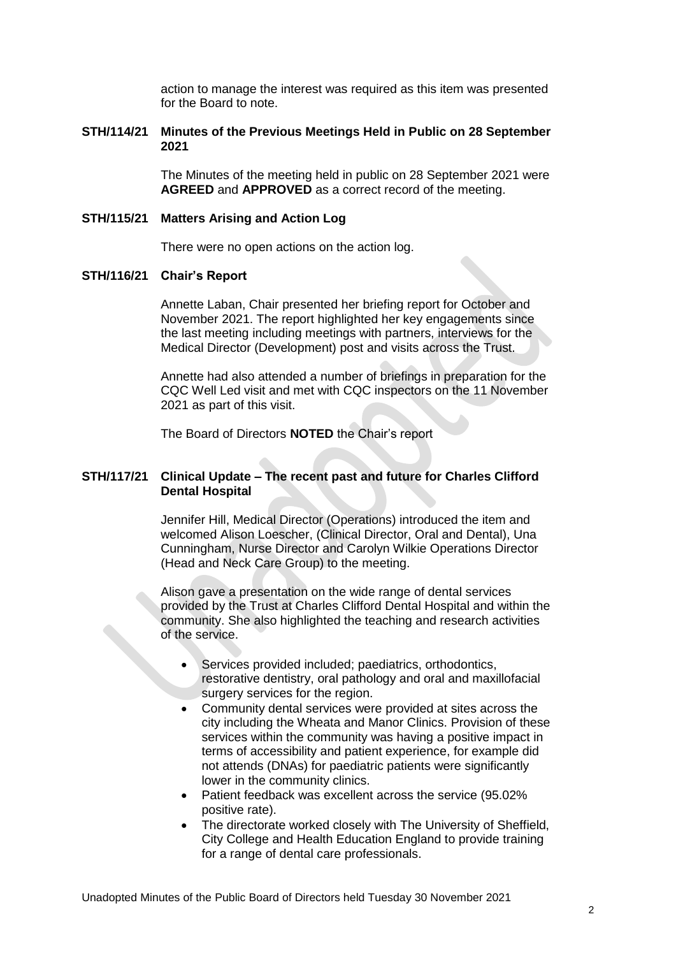action to manage the interest was required as this item was presented for the Board to note.

# **STH/114/21 Minutes of the Previous Meetings Held in Public on 28 September 2021**

The Minutes of the meeting held in public on 28 September 2021 were **AGREED** and **APPROVED** as a correct record of the meeting.

#### **STH/115/21 Matters Arising and Action Log**

There were no open actions on the action log.

#### **STH/116/21 Chair's Report**

Annette Laban, Chair presented her briefing report for October and November 2021. The report highlighted her key engagements since the last meeting including meetings with partners, interviews for the Medical Director (Development) post and visits across the Trust.

Annette had also attended a number of briefings in preparation for the CQC Well Led visit and met with CQC inspectors on the 11 November 2021 as part of this visit.

The Board of Directors **NOTED** the Chair's report

#### **STH/117/21 Clinical Update – The recent past and future for Charles Clifford Dental Hospital**

Jennifer Hill, Medical Director (Operations) introduced the item and welcomed Alison Loescher, (Clinical Director, Oral and Dental), Una Cunningham, Nurse Director and Carolyn Wilkie Operations Director (Head and Neck Care Group) to the meeting.

Alison gave a presentation on the wide range of dental services provided by the Trust at Charles Clifford Dental Hospital and within the community. She also highlighted the teaching and research activities of the service.

- Services provided included; paediatrics, orthodontics, restorative dentistry, oral pathology and oral and maxillofacial surgery services for the region.
- Community dental services were provided at sites across the city including the Wheata and Manor Clinics. Provision of these services within the community was having a positive impact in terms of accessibility and patient experience, for example did not attends (DNAs) for paediatric patients were significantly lower in the community clinics.
- Patient feedback was excellent across the service (95.02%) positive rate).
- The directorate worked closely with The University of Sheffield, City College and Health Education England to provide training for a range of dental care professionals.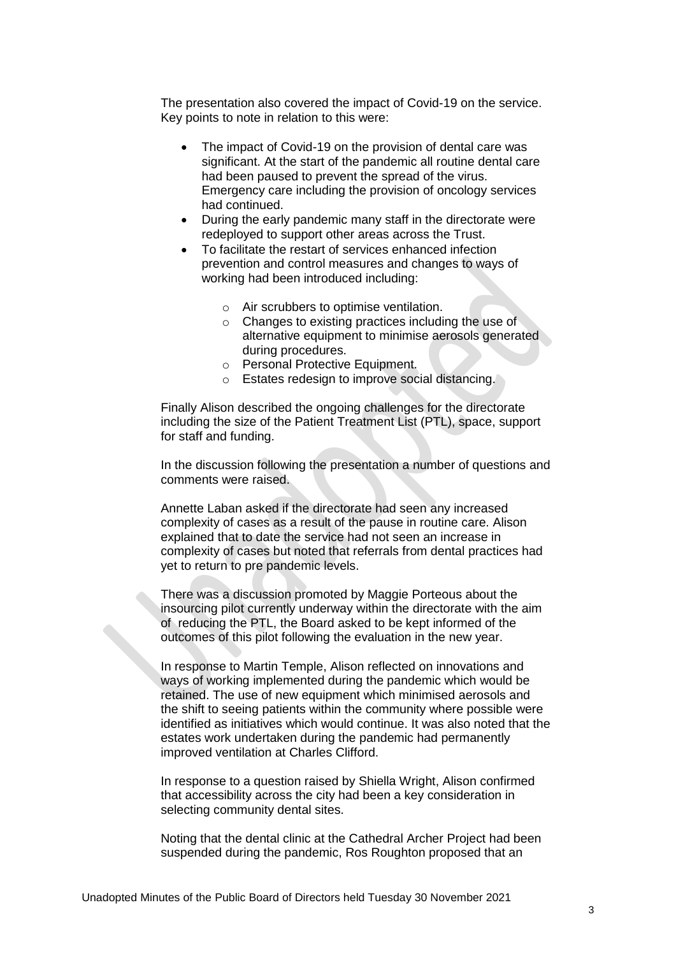The presentation also covered the impact of Covid-19 on the service. Key points to note in relation to this were:

- The impact of Covid-19 on the provision of dental care was significant. At the start of the pandemic all routine dental care had been paused to prevent the spread of the virus. Emergency care including the provision of oncology services had continued.
- During the early pandemic many staff in the directorate were redeployed to support other areas across the Trust.
- To facilitate the restart of services enhanced infection prevention and control measures and changes to ways of working had been introduced including:
	- o Air scrubbers to optimise ventilation.
	- $\circ$  Changes to existing practices including the use of alternative equipment to minimise aerosols generated during procedures.
	- o Personal Protective Equipment.
	- o Estates redesign to improve social distancing.

Finally Alison described the ongoing challenges for the directorate including the size of the Patient Treatment List (PTL), space, support for staff and funding.

In the discussion following the presentation a number of questions and comments were raised.

Annette Laban asked if the directorate had seen any increased complexity of cases as a result of the pause in routine care. Alison explained that to date the service had not seen an increase in complexity of cases but noted that referrals from dental practices had yet to return to pre pandemic levels.

There was a discussion promoted by Maggie Porteous about the insourcing pilot currently underway within the directorate with the aim of reducing the PTL, the Board asked to be kept informed of the outcomes of this pilot following the evaluation in the new year.

In response to Martin Temple, Alison reflected on innovations and ways of working implemented during the pandemic which would be retained. The use of new equipment which minimised aerosols and the shift to seeing patients within the community where possible were identified as initiatives which would continue. It was also noted that the estates work undertaken during the pandemic had permanently improved ventilation at Charles Clifford.

In response to a question raised by Shiella Wright, Alison confirmed that accessibility across the city had been a key consideration in selecting community dental sites.

Noting that the dental clinic at the Cathedral Archer Project had been suspended during the pandemic, Ros Roughton proposed that an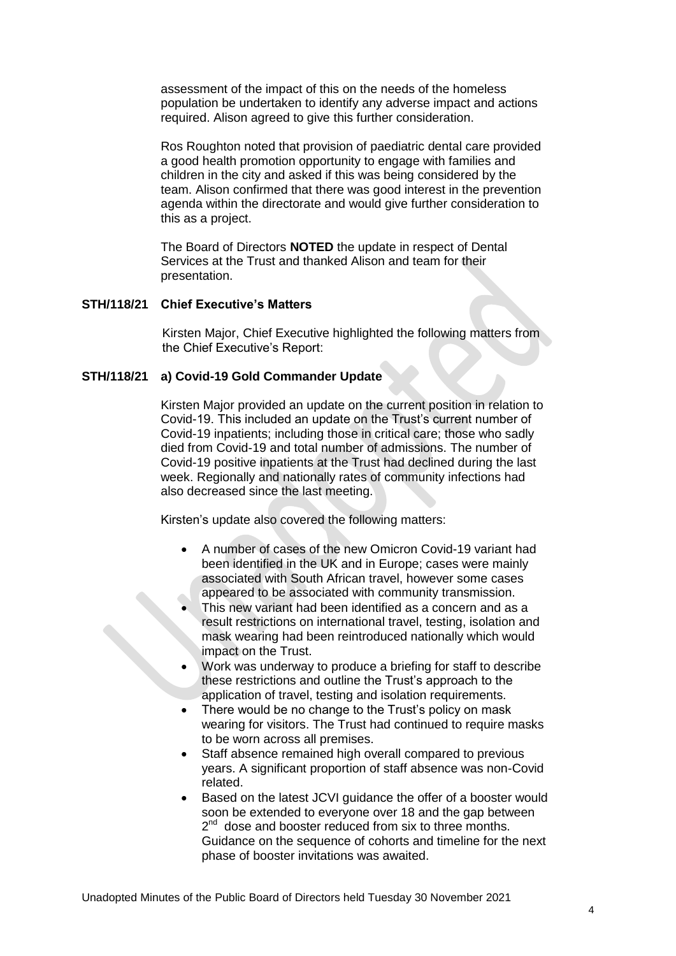assessment of the impact of this on the needs of the homeless population be undertaken to identify any adverse impact and actions required. Alison agreed to give this further consideration.

Ros Roughton noted that provision of paediatric dental care provided a good health promotion opportunity to engage with families and children in the city and asked if this was being considered by the team. Alison confirmed that there was good interest in the prevention agenda within the directorate and would give further consideration to this as a project.

The Board of Directors **NOTED** the update in respect of Dental Services at the Trust and thanked Alison and team for their presentation.

# **STH/118/21 Chief Executive's Matters**

Kirsten Major, Chief Executive highlighted the following matters from the Chief Executive's Report:

# **STH/118/21 a) Covid-19 Gold Commander Update**

Kirsten Major provided an update on the current position in relation to Covid-19. This included an update on the Trust's current number of Covid-19 inpatients; including those in critical care; those who sadly died from Covid-19 and total number of admissions. The number of Covid-19 positive inpatients at the Trust had declined during the last week. Regionally and nationally rates of community infections had also decreased since the last meeting.

Kirsten's update also covered the following matters:

- A number of cases of the new Omicron Covid-19 variant had been identified in the UK and in Europe; cases were mainly associated with South African travel, however some cases appeared to be associated with community transmission.
- This new variant had been identified as a concern and as a result restrictions on international travel, testing, isolation and mask wearing had been reintroduced nationally which would impact on the Trust.
- Work was underway to produce a briefing for staff to describe these restrictions and outline the Trust's approach to the application of travel, testing and isolation requirements.
- There would be no change to the Trust's policy on mask wearing for visitors. The Trust had continued to require masks to be worn across all premises.
- Staff absence remained high overall compared to previous years. A significant proportion of staff absence was non-Covid related.
- Based on the latest JCVI guidance the offer of a booster would soon be extended to everyone over 18 and the gap between 2<sup>nd</sup> dose and booster reduced from six to three months. Guidance on the sequence of cohorts and timeline for the next phase of booster invitations was awaited.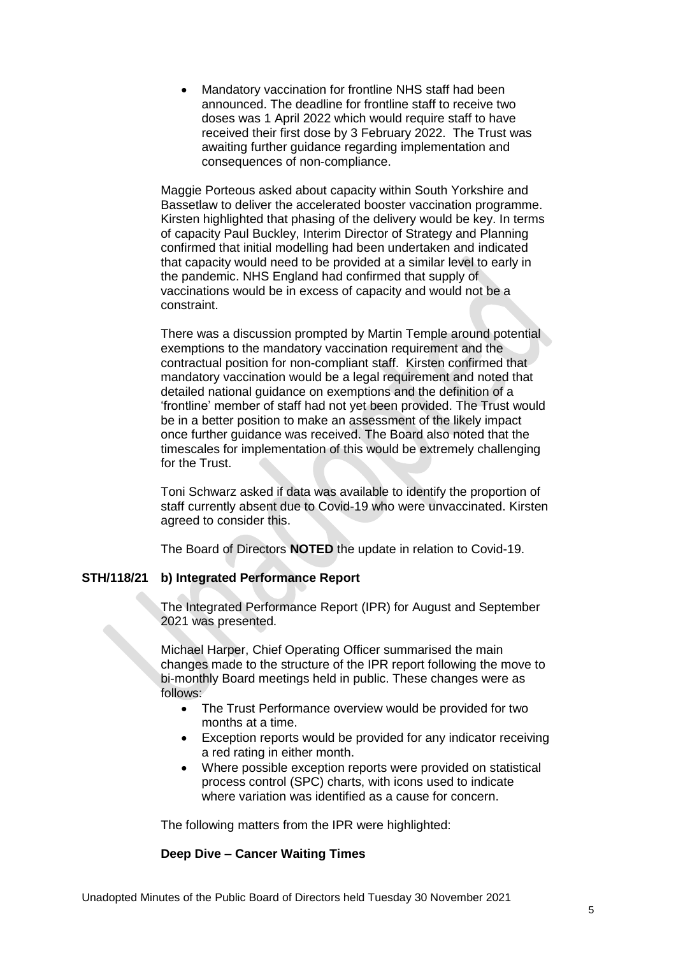Mandatory vaccination for frontline NHS staff had been announced. The deadline for frontline staff to receive two doses was 1 April 2022 which would require staff to have received their first dose by 3 February 2022. The Trust was awaiting further guidance regarding implementation and consequences of non-compliance.

Maggie Porteous asked about capacity within South Yorkshire and Bassetlaw to deliver the accelerated booster vaccination programme. Kirsten highlighted that phasing of the delivery would be key. In terms of capacity Paul Buckley, Interim Director of Strategy and Planning confirmed that initial modelling had been undertaken and indicated that capacity would need to be provided at a similar level to early in the pandemic. NHS England had confirmed that supply of vaccinations would be in excess of capacity and would not be a constraint.

There was a discussion prompted by Martin Temple around potential exemptions to the mandatory vaccination requirement and the contractual position for non-compliant staff. Kirsten confirmed that mandatory vaccination would be a legal requirement and noted that detailed national guidance on exemptions and the definition of a 'frontline' member of staff had not yet been provided. The Trust would be in a better position to make an assessment of the likely impact once further guidance was received. The Board also noted that the timescales for implementation of this would be extremely challenging for the Trust.

Toni Schwarz asked if data was available to identify the proportion of staff currently absent due to Covid-19 who were unvaccinated. Kirsten agreed to consider this.

The Board of Directors **NOTED** the update in relation to Covid-19.

# **STH/118/21 b) Integrated Performance Report**

The Integrated Performance Report (IPR) for August and September 2021 was presented.

Michael Harper, Chief Operating Officer summarised the main changes made to the structure of the IPR report following the move to bi-monthly Board meetings held in public. These changes were as follows:

- The Trust Performance overview would be provided for two months at a time.
- Exception reports would be provided for any indicator receiving a red rating in either month.
- Where possible exception reports were provided on statistical process control (SPC) charts, with icons used to indicate where variation was identified as a cause for concern.

The following matters from the IPR were highlighted:

#### **Deep Dive – Cancer Waiting Times**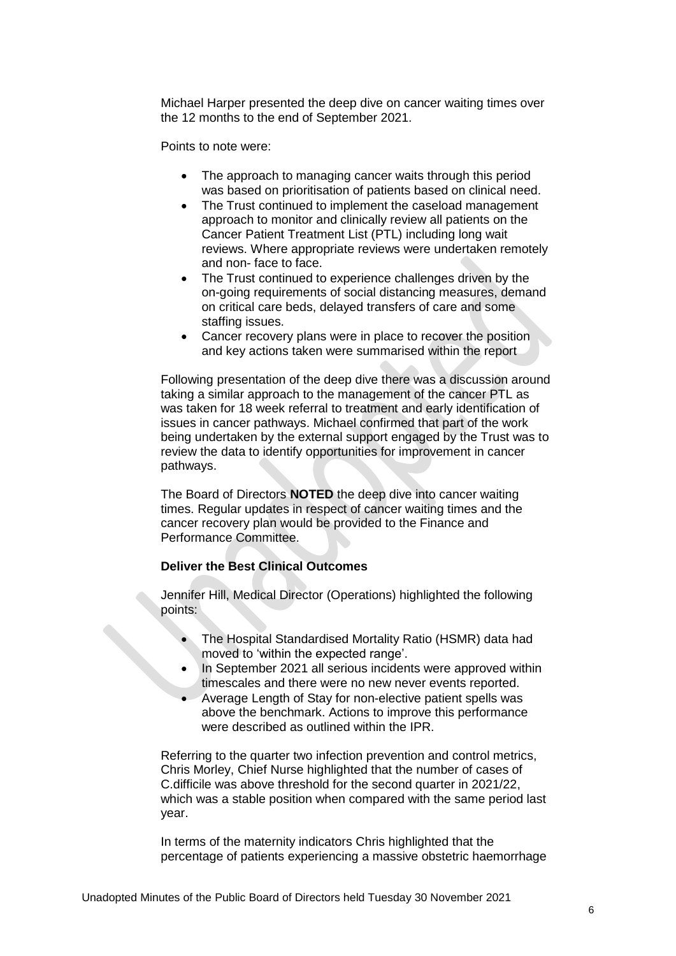Michael Harper presented the deep dive on cancer waiting times over the 12 months to the end of September 2021.

Points to note were:

- The approach to managing cancer waits through this period was based on prioritisation of patients based on clinical need.
- The Trust continued to implement the caseload management approach to monitor and clinically review all patients on the Cancer Patient Treatment List (PTL) including long wait reviews. Where appropriate reviews were undertaken remotely and non- face to face.
- The Trust continued to experience challenges driven by the on-going requirements of social distancing measures, demand on critical care beds, delayed transfers of care and some staffing issues.
- Cancer recovery plans were in place to recover the position and key actions taken were summarised within the report

Following presentation of the deep dive there was a discussion around taking a similar approach to the management of the cancer PTL as was taken for 18 week referral to treatment and early identification of issues in cancer pathways. Michael confirmed that part of the work being undertaken by the external support engaged by the Trust was to review the data to identify opportunities for improvement in cancer pathways.

The Board of Directors **NOTED** the deep dive into cancer waiting times. Regular updates in respect of cancer waiting times and the cancer recovery plan would be provided to the Finance and Performance Committee.

# **Deliver the Best Clinical Outcomes**

Jennifer Hill, Medical Director (Operations) highlighted the following points:

- The Hospital Standardised Mortality Ratio (HSMR) data had moved to 'within the expected range'.
- In September 2021 all serious incidents were approved within timescales and there were no new never events reported.
- Average Length of Stay for non-elective patient spells was above the benchmark. Actions to improve this performance were described as outlined within the IPR.

Referring to the quarter two infection prevention and control metrics, Chris Morley, Chief Nurse highlighted that the number of cases of C.difficile was above threshold for the second quarter in 2021/22, which was a stable position when compared with the same period last year.

In terms of the maternity indicators Chris highlighted that the percentage of patients experiencing a massive obstetric haemorrhage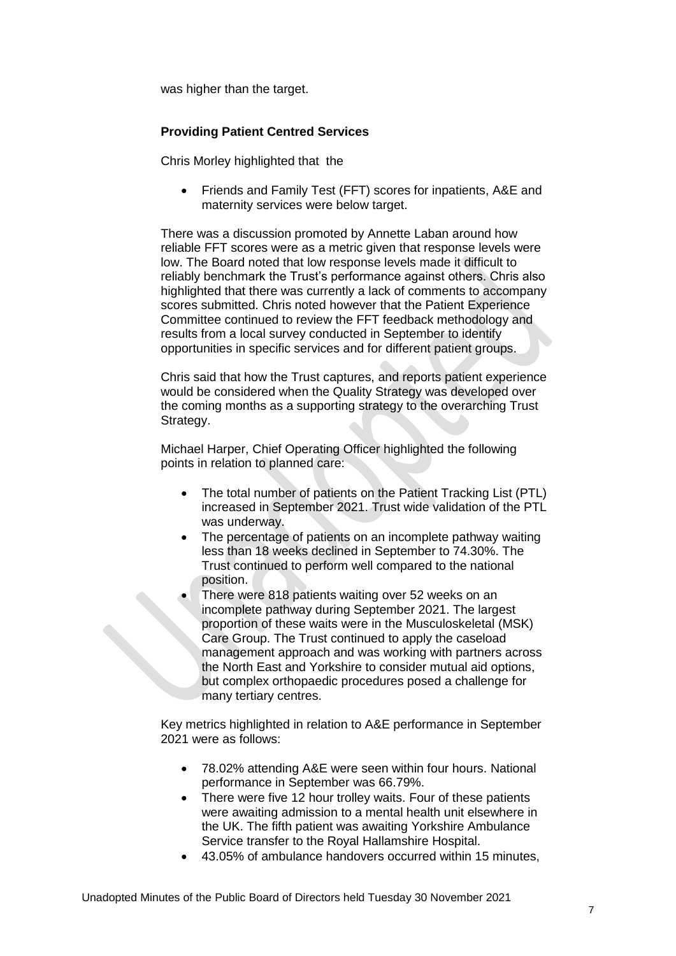was higher than the target.

# **Providing Patient Centred Services**

Chris Morley highlighted that the

 Friends and Family Test (FFT) scores for inpatients, A&E and maternity services were below target.

There was a discussion promoted by Annette Laban around how reliable FFT scores were as a metric given that response levels were low. The Board noted that low response levels made it difficult to reliably benchmark the Trust's performance against others. Chris also highlighted that there was currently a lack of comments to accompany scores submitted. Chris noted however that the Patient Experience Committee continued to review the FFT feedback methodology and results from a local survey conducted in September to identify opportunities in specific services and for different patient groups.

Chris said that how the Trust captures, and reports patient experience would be considered when the Quality Strategy was developed over the coming months as a supporting strategy to the overarching Trust Strategy.

Michael Harper, Chief Operating Officer highlighted the following points in relation to planned care:

- The total number of patients on the Patient Tracking List (PTL) increased in September 2021. Trust wide validation of the PTL was underway.
- The percentage of patients on an incomplete pathway waiting less than 18 weeks declined in September to 74.30%. The Trust continued to perform well compared to the national position.
- There were 818 patients waiting over 52 weeks on an incomplete pathway during September 2021. The largest proportion of these waits were in the Musculoskeletal (MSK) Care Group. The Trust continued to apply the caseload management approach and was working with partners across the North East and Yorkshire to consider mutual aid options, but complex orthopaedic procedures posed a challenge for many tertiary centres.

Key metrics highlighted in relation to A&E performance in September 2021 were as follows:

- 78.02% attending A&E were seen within four hours. National performance in September was 66.79%.
- There were five 12 hour trolley waits. Four of these patients were awaiting admission to a mental health unit elsewhere in the UK. The fifth patient was awaiting Yorkshire Ambulance Service transfer to the Royal Hallamshire Hospital.
- 43.05% of ambulance handovers occurred within 15 minutes,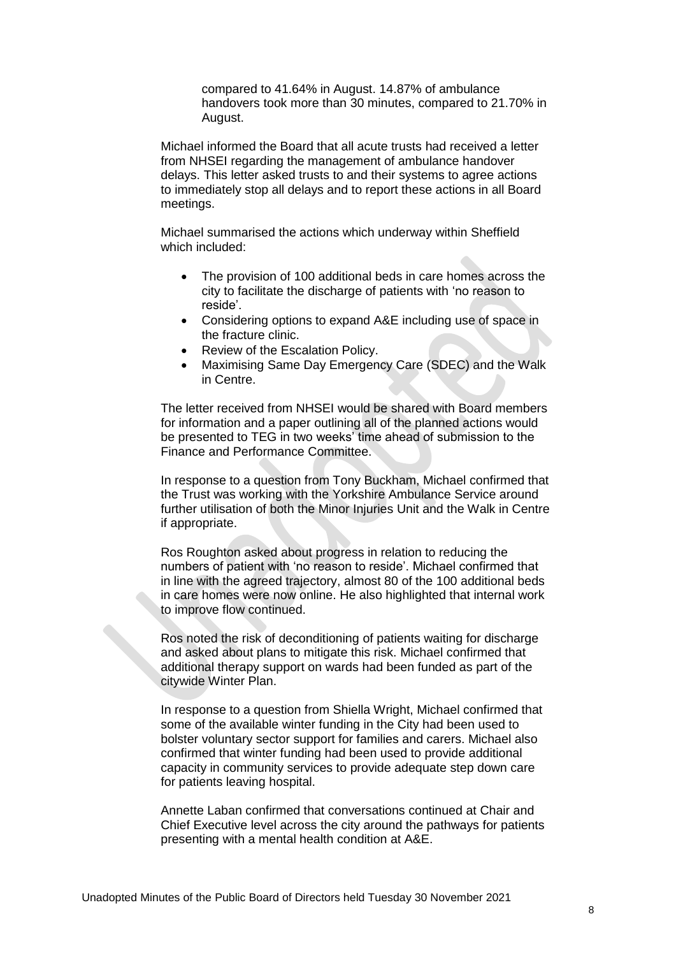compared to 41.64% in August. 14.87% of ambulance handovers took more than 30 minutes, compared to 21.70% in August.

Michael informed the Board that all acute trusts had received a letter from NHSEI regarding the management of ambulance handover delays. This letter asked trusts to and their systems to agree actions to immediately stop all delays and to report these actions in all Board meetings.

Michael summarised the actions which underway within Sheffield which included:

- The provision of 100 additional beds in care homes across the city to facilitate the discharge of patients with 'no reason to reside'.
- Considering options to expand A&E including use of space in the fracture clinic.
- Review of the Escalation Policy.
- Maximising Same Day Emergency Care (SDEC) and the Walk in Centre.

The letter received from NHSEI would be shared with Board members for information and a paper outlining all of the planned actions would be presented to TEG in two weeks' time ahead of submission to the Finance and Performance Committee.

In response to a question from Tony Buckham, Michael confirmed that the Trust was working with the Yorkshire Ambulance Service around further utilisation of both the Minor Injuries Unit and the Walk in Centre if appropriate.

Ros Roughton asked about progress in relation to reducing the numbers of patient with 'no reason to reside'. Michael confirmed that in line with the agreed trajectory, almost 80 of the 100 additional beds in care homes were now online. He also highlighted that internal work to improve flow continued.

Ros noted the risk of deconditioning of patients waiting for discharge and asked about plans to mitigate this risk. Michael confirmed that additional therapy support on wards had been funded as part of the citywide Winter Plan.

In response to a question from Shiella Wright, Michael confirmed that some of the available winter funding in the City had been used to bolster voluntary sector support for families and carers. Michael also confirmed that winter funding had been used to provide additional capacity in community services to provide adequate step down care for patients leaving hospital.

Annette Laban confirmed that conversations continued at Chair and Chief Executive level across the city around the pathways for patients presenting with a mental health condition at A&E.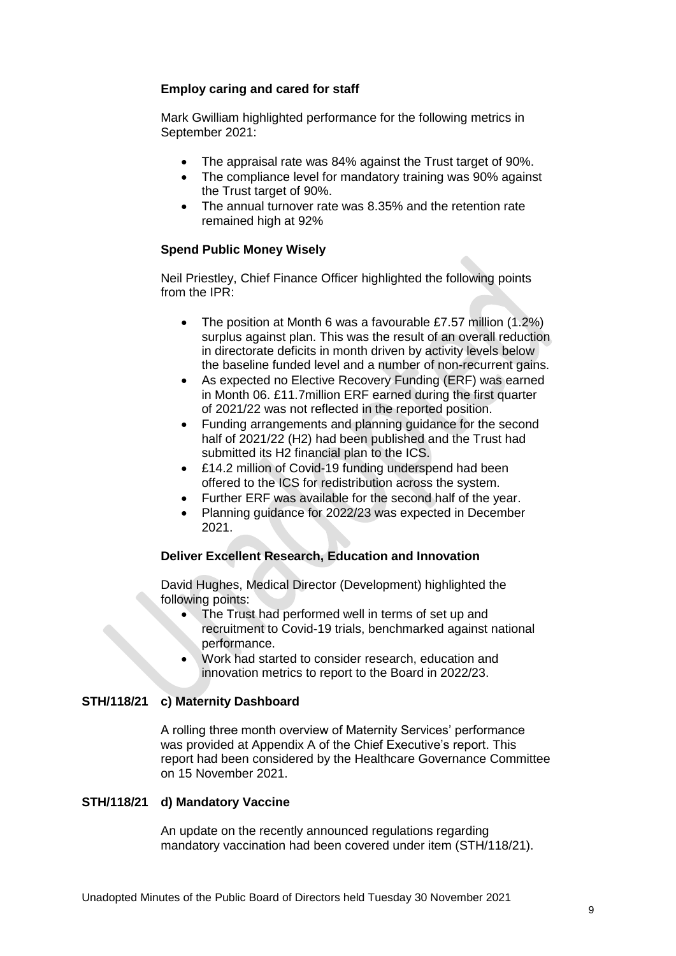# **Employ caring and cared for staff**

Mark Gwilliam highlighted performance for the following metrics in September 2021:

- The appraisal rate was 84% against the Trust target of 90%.
- The compliance level for mandatory training was 90% against the Trust target of 90%.
- The annual turnover rate was 8.35% and the retention rate remained high at 92%

# **Spend Public Money Wisely**

Neil Priestley, Chief Finance Officer highlighted the following points from the IPR:

- The position at Month 6 was a favourable £7.57 million (1.2%) surplus against plan. This was the result of an overall reduction in directorate deficits in month driven by activity levels below the baseline funded level and a number of non-recurrent gains.
- As expected no Elective Recovery Funding (ERF) was earned in Month 06. £11.7million ERF earned during the first quarter of 2021/22 was not reflected in the reported position.
- Funding arrangements and planning guidance for the second half of 2021/22 (H2) had been published and the Trust had submitted its H2 financial plan to the ICS.
- £14.2 million of Covid-19 funding underspend had been offered to the ICS for redistribution across the system.
- Further ERF was available for the second half of the year.
- Planning guidance for 2022/23 was expected in December 2021.

# **Deliver Excellent Research, Education and Innovation**

David Hughes, Medical Director (Development) highlighted the following points:

- The Trust had performed well in terms of set up and recruitment to Covid-19 trials, benchmarked against national performance.
- Work had started to consider research, education and innovation metrics to report to the Board in 2022/23.

#### **STH/118/21 c) Maternity Dashboard**

A rolling three month overview of Maternity Services' performance was provided at Appendix A of the Chief Executive's report. This report had been considered by the Healthcare Governance Committee on 15 November 2021.

#### **STH/118/21 d) Mandatory Vaccine**

An update on the recently announced regulations regarding mandatory vaccination had been covered under item (STH/118/21).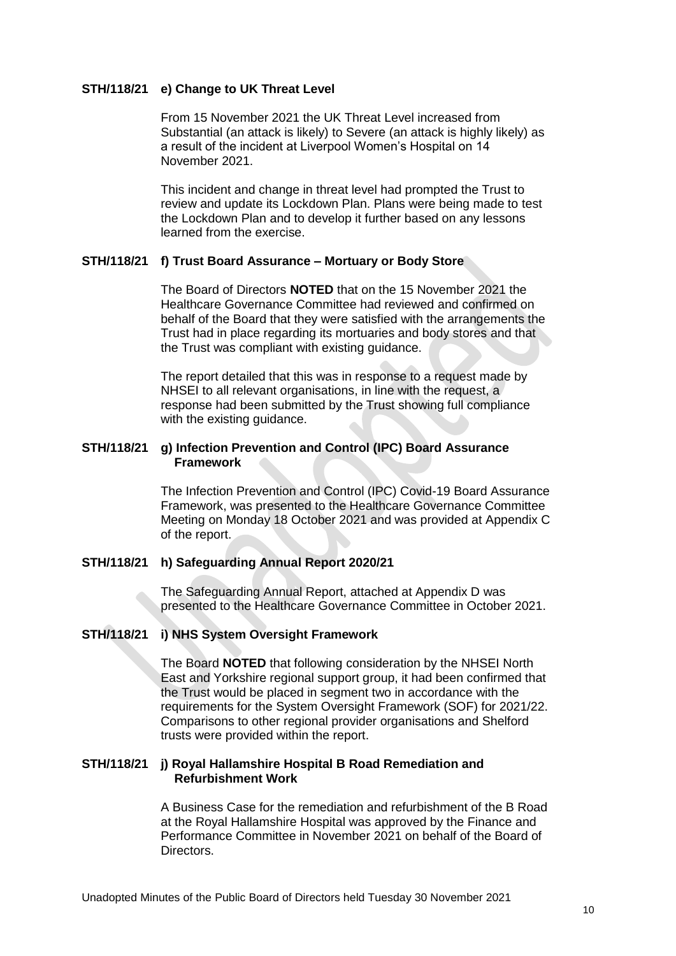#### **STH/118/21 e) Change to UK Threat Level**

From 15 November 2021 the UK Threat Level increased from Substantial (an attack is likely) to Severe (an attack is highly likely) as a result of the incident at Liverpool Women's Hospital on 14 November 2021.

This incident and change in threat level had prompted the Trust to review and update its Lockdown Plan. Plans were being made to test the Lockdown Plan and to develop it further based on any lessons learned from the exercise.

# **STH/118/21 f) Trust Board Assurance – Mortuary or Body Store**

The Board of Directors **NOTED** that on the 15 November 2021 the Healthcare Governance Committee had reviewed and confirmed on behalf of the Board that they were satisfied with the arrangements the Trust had in place regarding its mortuaries and body stores and that the Trust was compliant with existing guidance.

The report detailed that this was in response to a request made by NHSEI to all relevant organisations, in line with the request, a response had been submitted by the Trust showing full compliance with the existing guidance.

# **STH/118/21 g) Infection Prevention and Control (IPC) Board Assurance Framework**

The Infection Prevention and Control (IPC) Covid-19 Board Assurance Framework, was presented to the Healthcare Governance Committee Meeting on Monday 18 October 2021 and was provided at Appendix C of the report.

#### **STH/118/21 h) Safeguarding Annual Report 2020/21**

The Safeguarding Annual Report, attached at Appendix D was presented to the Healthcare Governance Committee in October 2021.

#### **STH/118/21 i) NHS System Oversight Framework**

The Board **NOTED** that following consideration by the NHSEI North East and Yorkshire regional support group, it had been confirmed that the Trust would be placed in segment two in accordance with the requirements for the System Oversight Framework (SOF) for 2021/22. Comparisons to other regional provider organisations and Shelford trusts were provided within the report.

#### **STH/118/21 j) Royal Hallamshire Hospital B Road Remediation and Refurbishment Work**

A Business Case for the remediation and refurbishment of the B Road at the Royal Hallamshire Hospital was approved by the Finance and Performance Committee in November 2021 on behalf of the Board of Directors.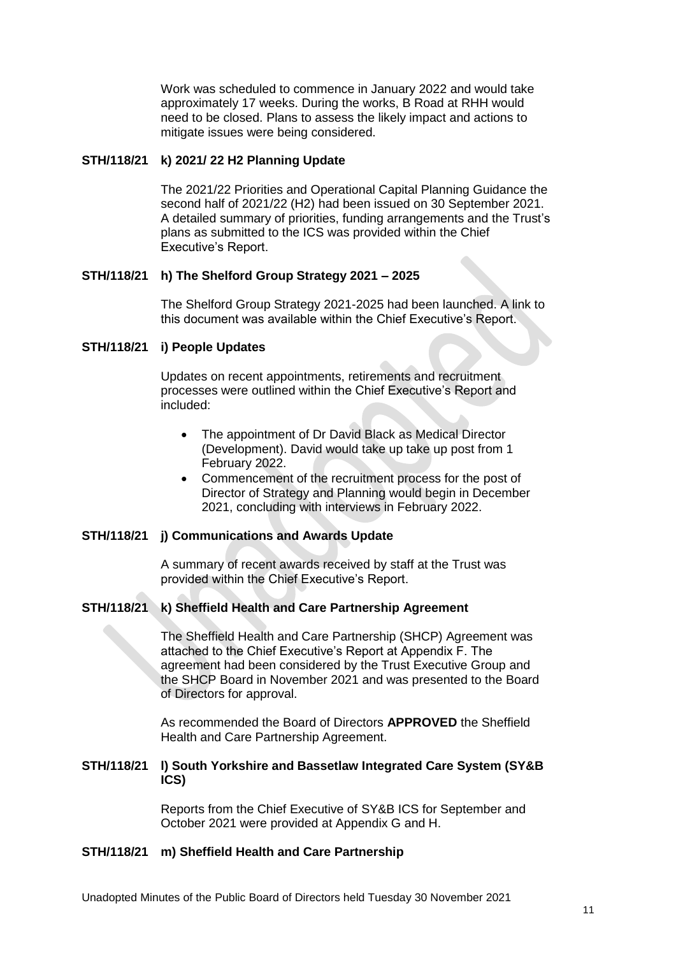Work was scheduled to commence in January 2022 and would take approximately 17 weeks. During the works, B Road at RHH would need to be closed. Plans to assess the likely impact and actions to mitigate issues were being considered.

#### **STH/118/21 k) 2021/ 22 H2 Planning Update**

The 2021/22 Priorities and Operational Capital Planning Guidance the second half of 2021/22 (H2) had been issued on 30 September 2021. A detailed summary of priorities, funding arrangements and the Trust's plans as submitted to the ICS was provided within the Chief Executive's Report.

#### **STH/118/21 h) The Shelford Group Strategy 2021 – 2025**

The Shelford Group Strategy 2021-2025 had been launched. A link to this document was available within the Chief Executive's Report.

#### **STH/118/21 i) People Updates**

Updates on recent appointments, retirements and recruitment processes were outlined within the Chief Executive's Report and included:

- The appointment of Dr David Black as Medical Director (Development). David would take up take up post from 1 February 2022.
- Commencement of the recruitment process for the post of Director of Strategy and Planning would begin in December 2021, concluding with interviews in February 2022.

#### **STH/118/21 j) Communications and Awards Update**

A summary of recent awards received by staff at the Trust was provided within the Chief Executive's Report.

# **STH/118/21 k) Sheffield Health and Care Partnership Agreement**

The Sheffield Health and Care Partnership (SHCP) Agreement was attached to the Chief Executive's Report at Appendix F. The agreement had been considered by the Trust Executive Group and the SHCP Board in November 2021 and was presented to the Board of Directors for approval.

As recommended the Board of Directors **APPROVED** the Sheffield Health and Care Partnership Agreement.

#### **STH/118/21 l) South Yorkshire and Bassetlaw Integrated Care System (SY&B ICS)**

Reports from the Chief Executive of SY&B ICS for September and October 2021 were provided at Appendix G and H.

# **STH/118/21 m) Sheffield Health and Care Partnership**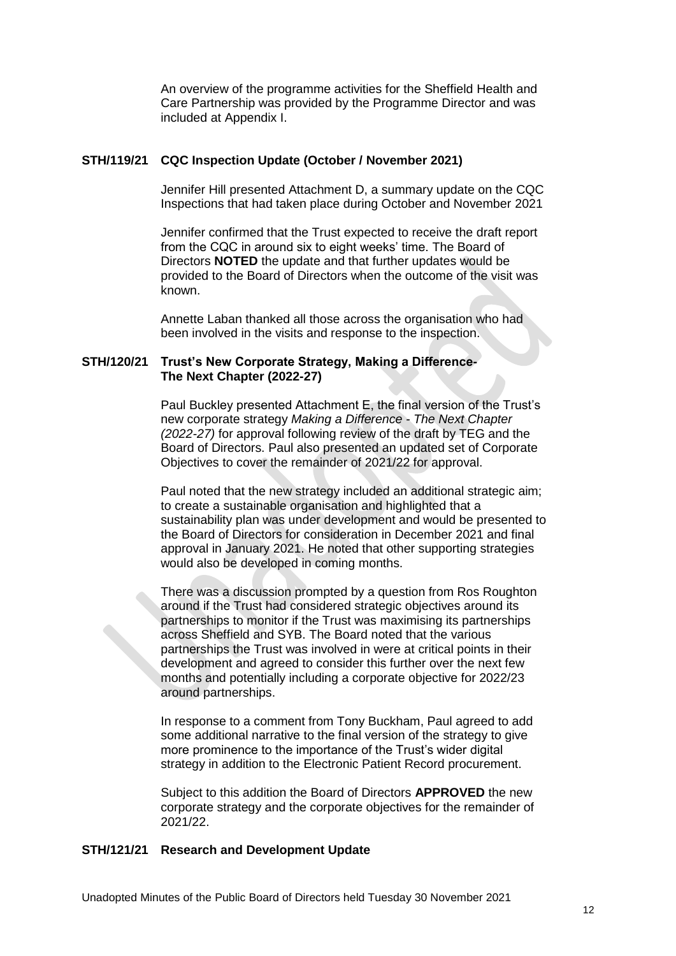An overview of the programme activities for the Sheffield Health and Care Partnership was provided by the Programme Director and was included at Appendix I.

#### **STH/119/21 CQC Inspection Update (October / November 2021)**

Jennifer Hill presented Attachment D, a summary update on the CQC Inspections that had taken place during October and November 2021

Jennifer confirmed that the Trust expected to receive the draft report from the CQC in around six to eight weeks' time. The Board of Directors **NOTED** the update and that further updates would be provided to the Board of Directors when the outcome of the visit was known.

Annette Laban thanked all those across the organisation who had been involved in the visits and response to the inspection.

## **STH/120/21 Trust's New Corporate Strategy, Making a Difference-The Next Chapter (2022-27)**

Paul Buckley presented Attachment E, the final version of the Trust's new corporate strategy *Making a Difference - The Next Chapter (2022-27)* for approval following review of the draft by TEG and the Board of Directors. Paul also presented an updated set of Corporate Objectives to cover the remainder of 2021/22 for approval.

Paul noted that the new strategy included an additional strategic aim; to create a sustainable organisation and highlighted that a sustainability plan was under development and would be presented to the Board of Directors for consideration in December 2021 and final approval in January 2021. He noted that other supporting strategies would also be developed in coming months.

There was a discussion prompted by a question from Ros Roughton around if the Trust had considered strategic objectives around its partnerships to monitor if the Trust was maximising its partnerships across Sheffield and SYB. The Board noted that the various partnerships the Trust was involved in were at critical points in their development and agreed to consider this further over the next few months and potentially including a corporate objective for 2022/23 around partnerships.

In response to a comment from Tony Buckham, Paul agreed to add some additional narrative to the final version of the strategy to give more prominence to the importance of the Trust's wider digital strategy in addition to the Electronic Patient Record procurement.

Subject to this addition the Board of Directors **APPROVED** the new corporate strategy and the corporate objectives for the remainder of 2021/22.

#### **STH/121/21 Research and Development Update**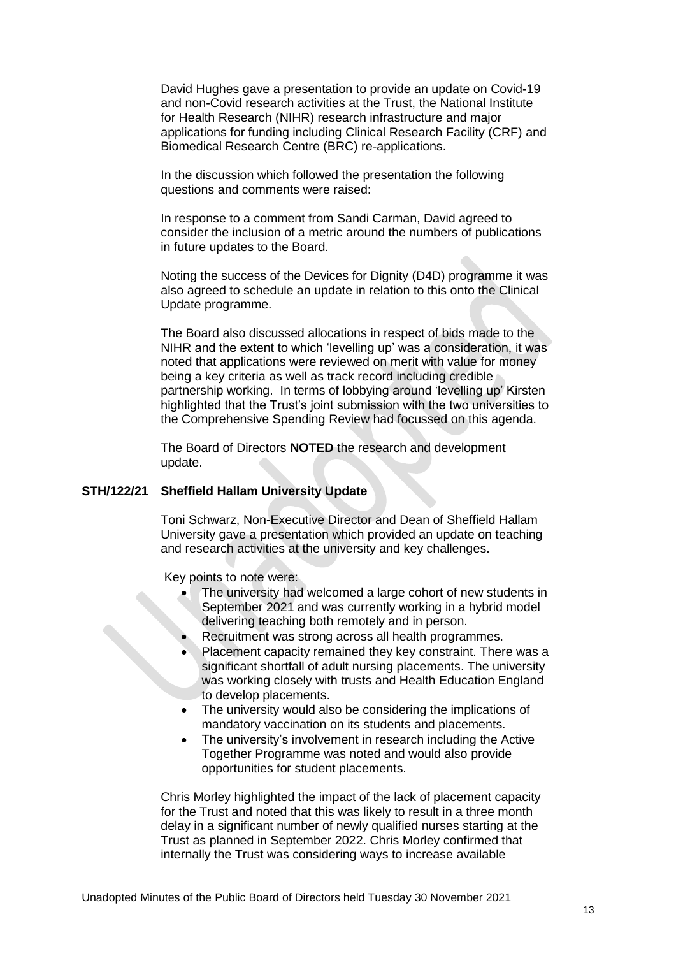David Hughes gave a presentation to provide an update on Covid-19 and non-Covid research activities at the Trust, the National Institute for Health Research (NIHR) research infrastructure and major applications for funding including Clinical Research Facility (CRF) and Biomedical Research Centre (BRC) re-applications.

In the discussion which followed the presentation the following questions and comments were raised:

In response to a comment from Sandi Carman, David agreed to consider the inclusion of a metric around the numbers of publications in future updates to the Board.

Noting the success of the Devices for Dignity (D4D) programme it was also agreed to schedule an update in relation to this onto the Clinical Update programme.

The Board also discussed allocations in respect of bids made to the NIHR and the extent to which 'levelling up' was a consideration, it was noted that applications were reviewed on merit with value for money being a key criteria as well as track record including credible partnership working. In terms of lobbying around 'levelling up' Kirsten highlighted that the Trust's joint submission with the two universities to the Comprehensive Spending Review had focussed on this agenda.

The Board of Directors **NOTED** the research and development update.

#### **STH/122/21 Sheffield Hallam University Update**

Toni Schwarz, Non-Executive Director and Dean of Sheffield Hallam University gave a presentation which provided an update on teaching and research activities at the university and key challenges.

Key points to note were:

- The university had welcomed a large cohort of new students in September 2021 and was currently working in a hybrid model delivering teaching both remotely and in person.
- Recruitment was strong across all health programmes.
- Placement capacity remained they key constraint. There was a significant shortfall of adult nursing placements. The university was working closely with trusts and Health Education England to develop placements.
- The university would also be considering the implications of mandatory vaccination on its students and placements.
- The university's involvement in research including the Active Together Programme was noted and would also provide opportunities for student placements.

Chris Morley highlighted the impact of the lack of placement capacity for the Trust and noted that this was likely to result in a three month delay in a significant number of newly qualified nurses starting at the Trust as planned in September 2022. Chris Morley confirmed that internally the Trust was considering ways to increase available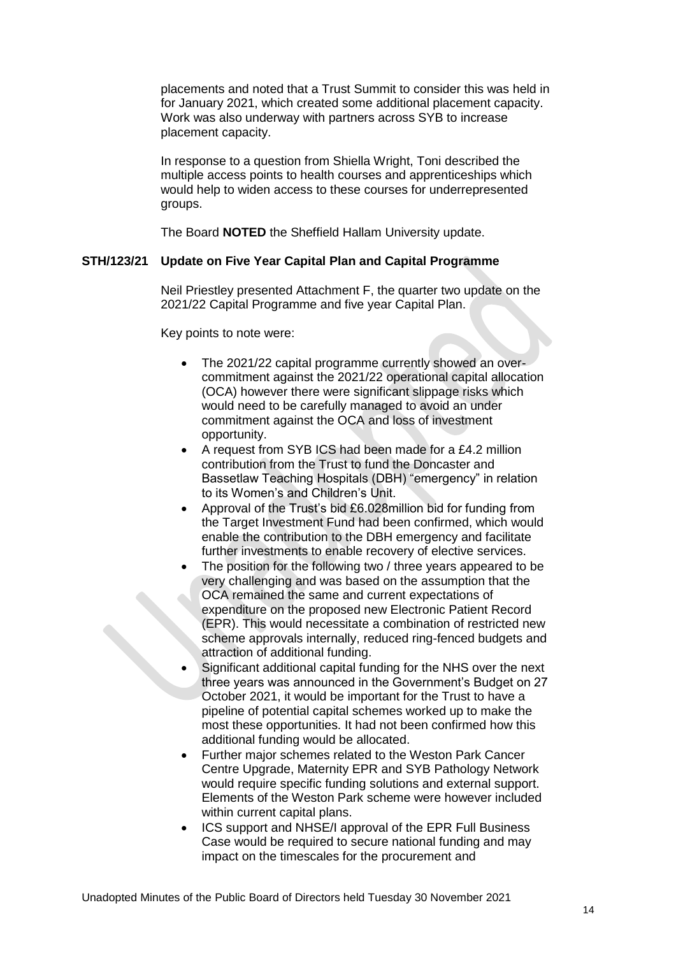placements and noted that a Trust Summit to consider this was held in for January 2021, which created some additional placement capacity. Work was also underway with partners across SYB to increase placement capacity.

In response to a question from Shiella Wright, Toni described the multiple access points to health courses and apprenticeships which would help to widen access to these courses for underrepresented groups.

The Board **NOTED** the Sheffield Hallam University update.

# **STH/123/21 Update on Five Year Capital Plan and Capital Programme**

Neil Priestley presented Attachment F, the quarter two update on the 2021/22 Capital Programme and five year Capital Plan.

Key points to note were:

- The 2021/22 capital programme currently showed an overcommitment against the 2021/22 operational capital allocation (OCA) however there were significant slippage risks which would need to be carefully managed to avoid an under commitment against the OCA and loss of investment opportunity.
- A request from SYB ICS had been made for a £4.2 million contribution from the Trust to fund the Doncaster and Bassetlaw Teaching Hospitals (DBH) "emergency" in relation to its Women's and Children's Unit.
- Approval of the Trust's bid £6.028million bid for funding from the Target Investment Fund had been confirmed, which would enable the contribution to the DBH emergency and facilitate further investments to enable recovery of elective services.
- The position for the following two / three years appeared to be very challenging and was based on the assumption that the OCA remained the same and current expectations of expenditure on the proposed new Electronic Patient Record (EPR). This would necessitate a combination of restricted new scheme approvals internally, reduced ring-fenced budgets and attraction of additional funding.
- Significant additional capital funding for the NHS over the next three years was announced in the Government's Budget on 27 October 2021, it would be important for the Trust to have a pipeline of potential capital schemes worked up to make the most these opportunities. It had not been confirmed how this additional funding would be allocated.
- Further major schemes related to the Weston Park Cancer Centre Upgrade, Maternity EPR and SYB Pathology Network would require specific funding solutions and external support. Elements of the Weston Park scheme were however included within current capital plans.
- ICS support and NHSE/I approval of the EPR Full Business Case would be required to secure national funding and may impact on the timescales for the procurement and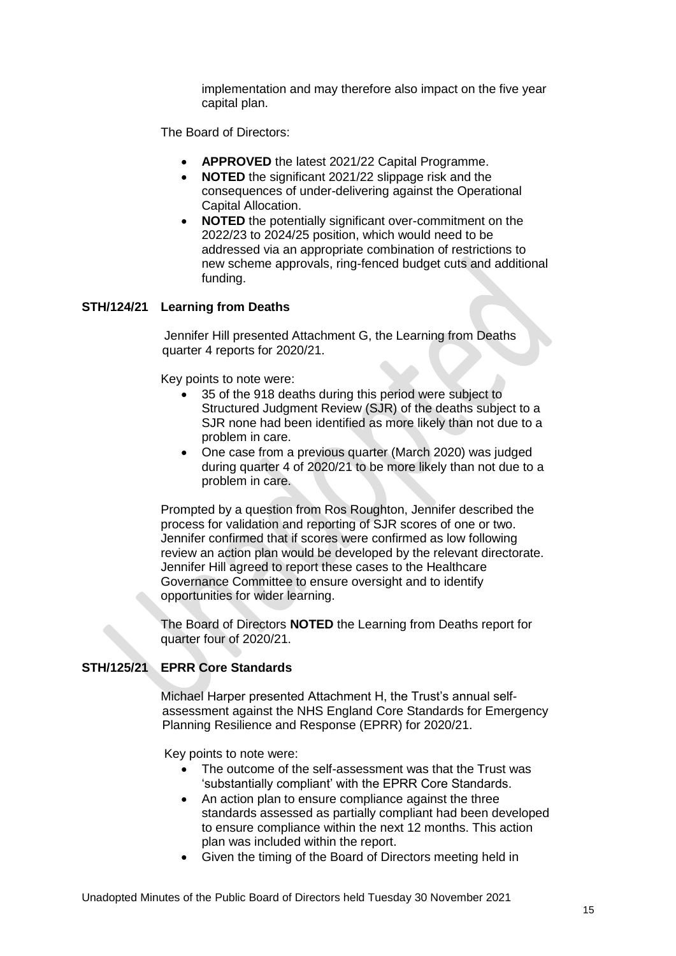implementation and may therefore also impact on the five year capital plan.

The Board of Directors:

- **APPROVED** the latest 2021/22 Capital Programme.
- **NOTED** the significant 2021/22 slippage risk and the consequences of under-delivering against the Operational Capital Allocation.
- **NOTED** the potentially significant over-commitment on the 2022/23 to 2024/25 position, which would need to be addressed via an appropriate combination of restrictions to new scheme approvals, ring-fenced budget cuts and additional funding.

# **STH/124/21 Learning from Deaths**

Jennifer Hill presented Attachment G, the Learning from Deaths quarter 4 reports for 2020/21.

Key points to note were:

- 35 of the 918 deaths during this period were subject to Structured Judgment Review (SJR) of the deaths subject to a SJR none had been identified as more likely than not due to a problem in care.
- One case from a previous quarter (March 2020) was judged during quarter 4 of 2020/21 to be more likely than not due to a problem in care.

Prompted by a question from Ros Roughton, Jennifer described the process for validation and reporting of SJR scores of one or two. Jennifer confirmed that if scores were confirmed as low following review an action plan would be developed by the relevant directorate. Jennifer Hill agreed to report these cases to the Healthcare Governance Committee to ensure oversight and to identify opportunities for wider learning.

The Board of Directors **NOTED** the Learning from Deaths report for quarter four of 2020/21.

# **STH/125/21 EPRR Core Standards**

Michael Harper presented Attachment H, the Trust's annual selfassessment against the NHS England Core Standards for Emergency Planning Resilience and Response (EPRR) for 2020/21.

Key points to note were:

- The outcome of the self-assessment was that the Trust was 'substantially compliant' with the EPRR Core Standards.
- An action plan to ensure compliance against the three standards assessed as partially compliant had been developed to ensure compliance within the next 12 months. This action plan was included within the report.
- Given the timing of the Board of Directors meeting held in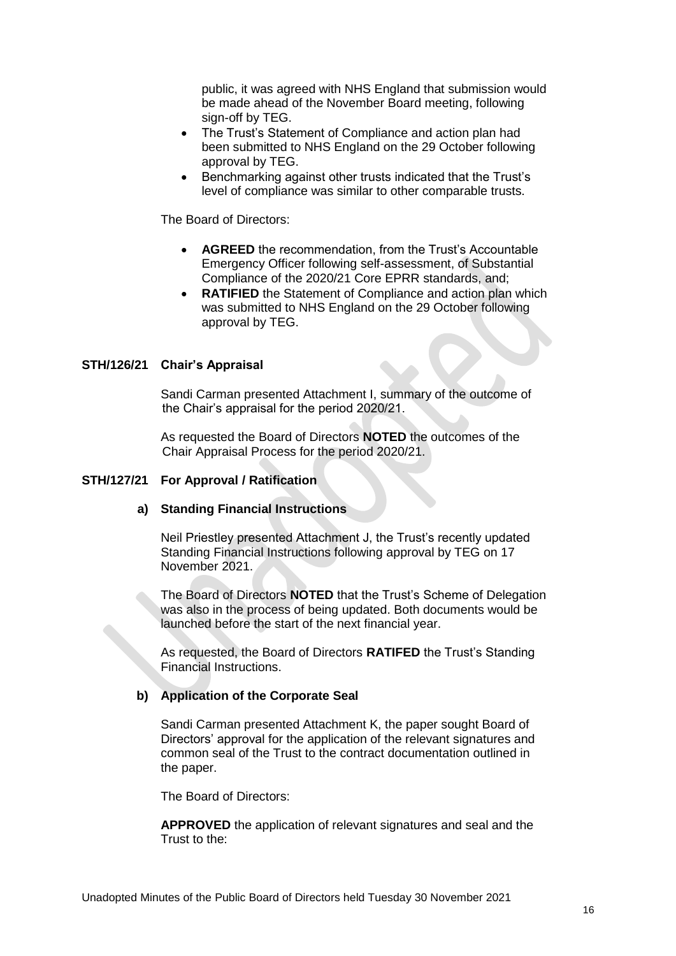public, it was agreed with NHS England that submission would be made ahead of the November Board meeting, following sign-off by TEG.

- The Trust's Statement of Compliance and action plan had been submitted to NHS England on the 29 October following approval by TEG.
- Benchmarking against other trusts indicated that the Trust's level of compliance was similar to other comparable trusts.

The Board of Directors:

- **AGREED** the recommendation, from the Trust's Accountable Emergency Officer following self-assessment, of Substantial Compliance of the 2020/21 Core EPRR standards, and;
- **RATIFIED** the Statement of Compliance and action plan which was submitted to NHS England on the 29 October following approval by TEG.

## **STH/126/21 Chair's Appraisal**

Sandi Carman presented Attachment I, summary of the outcome of the Chair's appraisal for the period 2020/21.

As requested the Board of Directors **NOTED** the outcomes of the Chair Appraisal Process for the period 2020/21.

#### **STH/127/21 For Approval / Ratification**

#### **a) Standing Financial Instructions**

Neil Priestley presented Attachment J, the Trust's recently updated Standing Financial Instructions following approval by TEG on 17 November 2021.

The Board of Directors **NOTED** that the Trust's Scheme of Delegation was also in the process of being updated. Both documents would be launched before the start of the next financial year.

As requested, the Board of Directors **RATIFED** the Trust's Standing Financial Instructions.

#### **b) Application of the Corporate Seal**

Sandi Carman presented Attachment K, the paper sought Board of Directors' approval for the application of the relevant signatures and common seal of the Trust to the contract documentation outlined in the paper.

The Board of Directors:

**APPROVED** the application of relevant signatures and seal and the Trust to the: